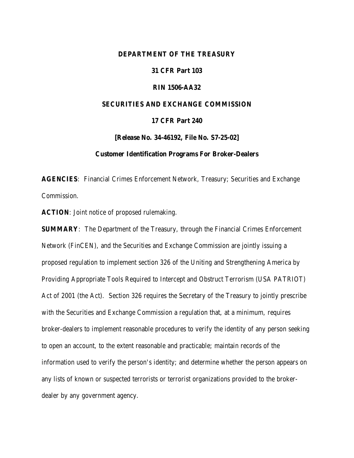#### **DEPARTMENT OF THE TREASURY**

## **31 CFR Part 103**

#### **RIN 1506-AA32**

#### **SECURITIES AND EXCHANGE COMMISSION**

## **17 CFR Part 240**

**[Release No. 34-46192, File No. S7-25-02]**

#### **Customer Identification Programs For Broker-Dealers**

**AGENCIES**: Financial Crimes Enforcement Network, Treasury; Securities and Exchange Commission.

**ACTION**: Joint notice of proposed rulemaking.

**SUMMARY**: The Department of the Treasury, through the Financial Crimes Enforcement Network (FinCEN), and the Securities and Exchange Commission are jointly issuing a proposed regulation to implement section 326 of the Uniting and Strengthening America by Providing Appropriate Tools Required to Intercept and Obstruct Terrorism (USA PATRIOT) Act of 2001 (the Act). Section 326 requires the Secretary of the Treasury to jointly prescribe with the Securities and Exchange Commission a regulation that, at a minimum, requires broker-dealers to implement reasonable procedures to verify the identity of any person seeking to open an account, to the extent reasonable and practicable; maintain records of the information used to verify the person's identity; and determine whether the person appears on any lists of known or suspected terrorists or terrorist organizations provided to the brokerdealer by any government agency.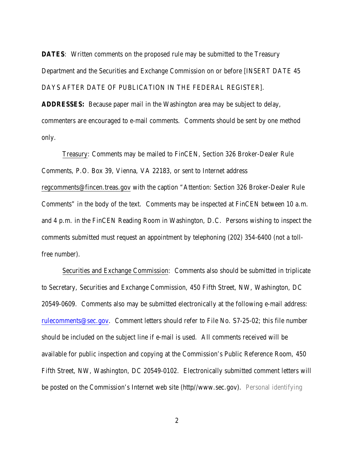**DATES:** Written comments on the proposed rule may be submitted to the Treasury Department and the Securities and Exchange Commission on or before [INSERT DATE 45 DAYS AFTER DATE OF PUBLICATION IN THE FEDERAL REGISTER].

**ADDRESSES:** Because paper mail in the Washington area may be subject to delay, commenters are encouraged to e-mail comments. Comments should be sent by one method only.

Treasury: Comments may be mailed to FinCEN, Section 326 Broker-Dealer Rule Comments, P.O. Box 39, Vienna, VA 22183, or sent to Internet address regcomments@fincen.treas.gov with the caption "Attention: Section 326 Broker-Dealer Rule Comments" in the body of the text. Comments may be inspected at FinCEN between 10 a.m. and 4 p.m. in the FinCEN Reading Room in Washington, D.C. Persons wishing to inspect the comments submitted must request an appointment by telephoning (202) 354-6400 (not a tollfree number).

Securities and Exchange Commission: Comments also should be submitted in triplicate to Secretary, Securities and Exchange Commission, 450 Fifth Street, NW, Washington, DC 20549-0609. Comments also may be submitted electronically at the following e-mail address: rulecomments@sec.gov. Comment letters should refer to File No. S7-25-02; this file number should be included on the subject line if e-mail is used. All comments received will be available for public inspection and copying at the Commission's Public Reference Room, 450 Fifth Street, NW, Washington, DC 20549-0102. Electronically submitted comment letters will be posted on the Commission's Internet web site (http//www.sec.gov). Personal identifying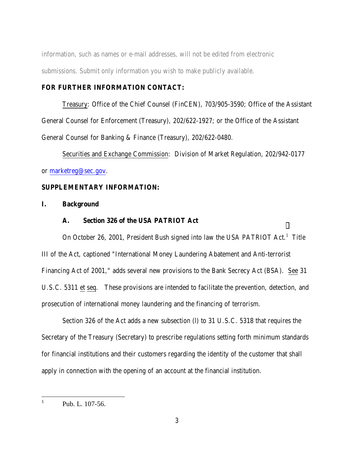information, such as names or e-mail addresses, will not be edited from electronic submissions. Submit only information you wish to make publicly available.

#### **FOR FURTHER INFORMATION CONTACT:**

Treasury: Office of the Chief Counsel (FinCEN), 703/905-3590; Office of the Assistant General Counsel for Enforcement (Treasury), 202/622-1927; or the Office of the Assistant General Counsel for Banking & Finance (Treasury), 202/622-0480.

Securities and Exchange Commission: Division of Market Regulation, 202/942-0177 or marketreg@sec.gov.

## **SUPPLEMENTARY INFORMATION:**

# **I. Background**

## **A. Section 326 of the USA PATRIOT Act**

On October 26, 2001, President Bush signed into law the USA PATRIOT Act.<sup>1</sup> Title III of the Act, captioned "International Money Laundering Abatement and Anti-terrorist Financing Act of 2001," adds several new provisions to the Bank Secrecy Act (BSA). See 31 U.S.C. 5311 et seq. These provisions are intended to facilitate the prevention, detection, and prosecution of international money laundering and the financing of terrorism.

Section 326 of the Act adds a new subsection (l) to 31 U.S.C. 5318 that requires the Secretary of the Treasury (Secretary) to prescribe regulations setting forth minimum standards for financial institutions and their customers regarding the identity of the customer that shall apply in connection with the opening of an account at the financial institution.

 $\frac{1}{1}$ 

Pub. L. 107-56.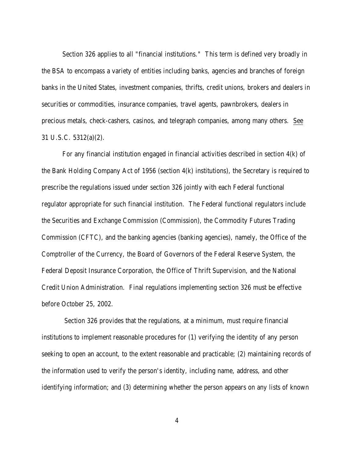Section 326 applies to all "financial institutions." This term is defined very broadly in the BSA to encompass a variety of entities including banks, agencies and branches of foreign banks in the United States, investment companies, thrifts, credit unions, brokers and dealers in securities or commodities, insurance companies, travel agents, pawnbrokers, dealers in precious metals, check-cashers, casinos, and telegraph companies, among many others. See 31 U.S.C. 5312(a)(2).

For any financial institution engaged in financial activities described in section 4(k) of the Bank Holding Company Act of 1956 (section 4(k) institutions), the Secretary is required to prescribe the regulations issued under section 326 jointly with each Federal functional regulator appropriate for such financial institution. The Federal functional regulators include the Securities and Exchange Commission (Commission), the Commodity Futures Trading Commission (CFTC), and the banking agencies (banking agencies), namely, the Office of the Comptroller of the Currency, the Board of Governors of the Federal Reserve System, the Federal Deposit Insurance Corporation, the Office of Thrift Supervision, and the National Credit Union Administration. Final regulations implementing section 326 must be effective before October 25, 2002.

 Section 326 provides that the regulations, at a minimum, must require financial institutions to implement reasonable procedures for (1) verifying the identity of any person seeking to open an account, to the extent reasonable and practicable; (2) maintaining records of the information used to verify the person's identity, including name, address, and other identifying information; and (3) determining whether the person appears on any lists of known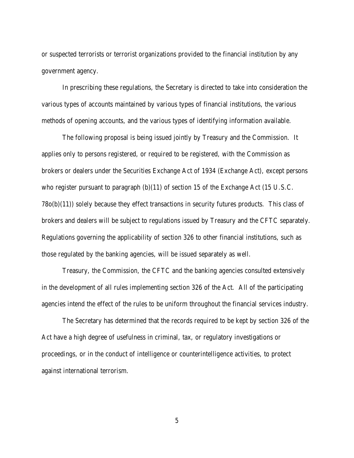or suspected terrorists or terrorist organizations provided to the financial institution by any government agency.

In prescribing these regulations, the Secretary is directed to take into consideration the various types of accounts maintained by various types of financial institutions, the various methods of opening accounts, and the various types of identifying information available.

The following proposal is being issued jointly by Treasury and the Commission. It applies only to persons registered, or required to be registered, with the Commission as brokers or dealers under the Securities Exchange Act of 1934 (Exchange Act), except persons who register pursuant to paragraph (b)(11) of section 15 of the Exchange Act (15 U.S.C. 78o(b)(11)) solely because they effect transactions in security futures products. This class of brokers and dealers will be subject to regulations issued by Treasury and the CFTC separately. Regulations governing the applicability of section 326 to other financial institutions, such as those regulated by the banking agencies, will be issued separately as well.

Treasury, the Commission, the CFTC and the banking agencies consulted extensively in the development of all rules implementing section 326 of the Act. All of the participating agencies intend the effect of the rules to be uniform throughout the financial services industry.

The Secretary has determined that the records required to be kept by section 326 of the Act have a high degree of usefulness in criminal, tax, or regulatory investigations or proceedings, or in the conduct of intelligence or counterintelligence activities, to protect against international terrorism.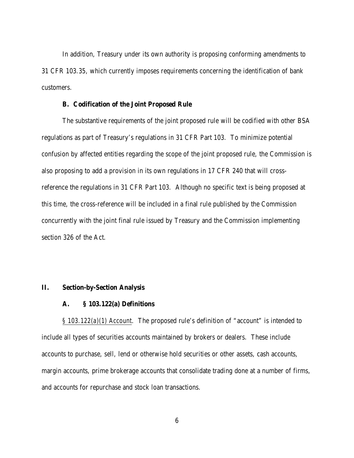In addition, Treasury under its own authority is proposing conforming amendments to 31 CFR 103.35, which currently imposes requirements concerning the identification of bank customers.

#### **B. Codification of the Joint Proposed Rule**

The substantive requirements of the joint proposed rule will be codified with other BSA regulations as part of Treasury's regulations in 31 CFR Part 103. To minimize potential confusion by affected entities regarding the scope of the joint proposed rule, the Commission is also proposing to add a provision in its own regulations in 17 CFR 240 that will crossreference the regulations in 31 CFR Part 103. Although no specific text is being proposed at this time, the cross-reference will be included in a final rule published by the Commission concurrently with the joint final rule issued by Treasury and the Commission implementing section 326 of the Act.

#### **II. Section-by-Section Analysis**

#### **A. § 103.122(a) Definitions**

*§ 103.122(a)(1) Account*. The proposed rule's definition of "account" is intended to include all types of securities accounts maintained by brokers or dealers. These include accounts to purchase, sell, lend or otherwise hold securities or other assets, cash accounts, margin accounts, prime brokerage accounts that consolidate trading done at a number of firms, and accounts for repurchase and stock loan transactions.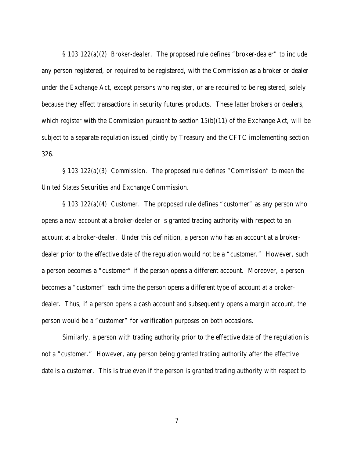*§ 103.122(a)(2) Broker-dealer*. The proposed rule defines "broker-dealer" to include any person registered, or required to be registered, with the Commission as a broker or dealer under the Exchange Act, except persons who register, or are required to be registered, solely because they effect transactions in security futures products. These latter brokers or dealers, which register with the Commission pursuant to section  $15(b)(11)$  of the Exchange Act, will be subject to a separate regulation issued jointly by Treasury and the CFTC implementing section 326.

*§ 103.122(a)(3) Commission*. The proposed rule defines "Commission" to mean the United States Securities and Exchange Commission.

*§ 103.122(a)(4) Customer*. The proposed rule defines "customer" as any person who opens a new account at a broker-dealer or is granted trading authority with respect to an account at a broker-dealer. Under this definition, a person who has an account at a brokerdealer prior to the effective date of the regulation would not be a "customer." However, such a person becomes a "customer" if the person opens a different account. Moreover, a person becomes a "customer" each time the person opens a different type of account at a brokerdealer. Thus, if a person opens a cash account and subsequently opens a margin account, the person would be a "customer" for verification purposes on both occasions.

Similarly, a person with trading authority prior to the effective date of the regulation is not a "customer." However, any person being granted trading authority after the effective date is a customer. This is true even if the person is granted trading authority with respect to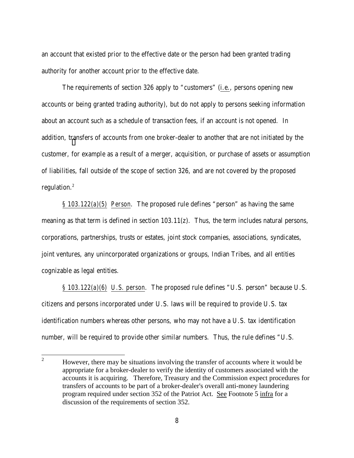an account that existed prior to the effective date or the person had been granted trading authority for another account prior to the effective date.

The requirements of section 326 apply to "customers" (i.e., persons opening new accounts or being granted trading authority), but do not apply to persons seeking information about an account such as a schedule of transaction fees, if an account is not opened. In addition, transfers of accounts from one broker-dealer to another that are not initiated by the customer, for example as a result of a merger, acquisition, or purchase of assets or assumption of liabilities, fall outside of the scope of section 326, and are not covered by the proposed regulation.<sup>2</sup>

*§ 103.122(a)(5) Person*. The proposed rule defines "person" as having the same meaning as that term is defined in section 103.11(z). Thus, the term includes natural persons, corporations, partnerships, trusts or estates, joint stock companies, associations, syndicates, joint ventures, any unincorporated organizations or groups, Indian Tribes, and all entities cognizable as legal entities.

*§ 103.122(a)(6) U.S. person*. The proposed rule defines "U.S. person" because U.S. citizens and persons incorporated under U.S. laws will be required to provide U.S. tax identification numbers whereas other persons, who may not have a U.S. tax identification number, will be required to provide other similar numbers. Thus, the rule defines "U.S.

 $\frac{1}{2}$  However, there may be situations involving the transfer of accounts where it would be appropriate for a broker-dealer to verify the identity of customers associated with the accounts it is acquiring. Therefore, Treasury and the Commission expect procedures for transfers of accounts to be part of a broker-dealer's overall anti-money laundering program required under section 352 of the Patriot Act. See Footnote 5 infra for a discussion of the requirements of section 352.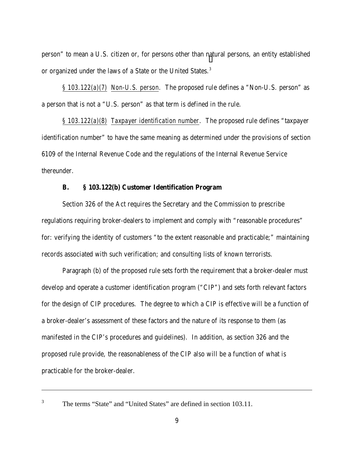person" to mean a U.S. citizen or, for persons other than natural persons, an entity established or organized under the laws of a State or the United States.<sup>3</sup>

*§ 103.122(a)(7) Non-U.S. person*. The proposed rule defines a "Non-U.S. person" as a person that is not a "U.S. person" as that term is defined in the rule.

*§ 103.122(a)(8) Taxpayer identification number*. The proposed rule defines "taxpayer identification number" to have the same meaning as determined under the provisions of section 6109 of the Internal Revenue Code and the regulations of the Internal Revenue Service thereunder.

## **B. § 103.122(b) Customer Identification Program**

Section 326 of the Act requires the Secretary and the Commission to prescribe regulations requiring broker-dealers to implement and comply with "reasonable procedures" for: verifying the identity of customers "to the extent reasonable and practicable;" maintaining records associated with such verification; and consulting lists of known terrorists.

Paragraph (b) of the proposed rule sets forth the requirement that a broker-dealer must develop and operate a customer identification program ("CIP") and sets forth relevant factors for the design of CIP procedures. The degree to which a CIP is effective will be a function of a broker-dealer's assessment of these factors and the nature of its response to them (as manifested in the CIP's procedures and guidelines). In addition, as section 326 and the proposed rule provide, the reasonableness of the CIP also will be a function of what is practicable for the broker-dealer.

3

l

The terms "State" and "United States" are defined in section 103.11.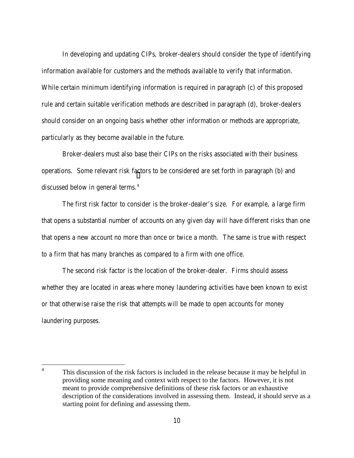In developing and updating CIPs, broker-dealers should consider the type of identifying information available for customers and the methods available to verify that information. While certain minimum identifying information is required in paragraph (c) of this proposed rule and certain suitable verification methods are described in paragraph (d), broker-dealers should consider on an ongoing basis whether other information or methods are appropriate, particularly as they become available in the future.

Broker-dealers must also base their CIPs on the risks associated with their business operations. Some relevant risk factors to be considered are set forth in paragraph (b) and discussed below in general terms.<sup>4</sup>

The first risk factor to consider is the broker-dealer's size. For example, a large firm that opens a substantial number of accounts on any given day will have different risks than one that opens a new account no more than once or twice a month. The same is true with respect to a firm that has many branches as compared to a firm with one office.

The second risk factor is the location of the broker-dealer. Firms should assess whether they are located in areas where money laundering activities have been known to exist or that otherwise raise the risk that attempts will be made to open accounts for money laundering purposes.

 4 This discussion of the risk factors is included in the release because it may be helpful in providing some meaning and context with respect to the factors. However, it is not meant to provide comprehensive definitions of these risk factors or an exhaustive description of the considerations involved in assessing them. Instead, it should serve as a starting point for defining and assessing them.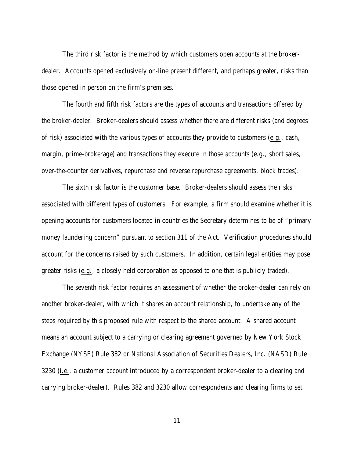The third risk factor is the method by which customers open accounts at the brokerdealer. Accounts opened exclusively on-line present different, and perhaps greater, risks than those opened in person on the firm's premises.

The fourth and fifth risk factors are the types of accounts and transactions offered by the broker-dealer. Broker-dealers should assess whether there are different risks (and degrees of risk) associated with the various types of accounts they provide to customers (e.g., cash, margin, prime-brokerage) and transactions they execute in those accounts (e.g., short sales, over-the-counter derivatives, repurchase and reverse repurchase agreements, block trades).

The sixth risk factor is the customer base. Broker-dealers should assess the risks associated with different types of customers. For example, a firm should examine whether it is opening accounts for customers located in countries the Secretary determines to be of "primary money laundering concern" pursuant to section 311 of the Act. Verification procedures should account for the concerns raised by such customers. In addition, certain legal entities may pose greater risks (e.g., a closely held corporation as opposed to one that is publicly traded).

The seventh risk factor requires an assessment of whether the broker-dealer can rely on another broker-dealer, with which it shares an account relationship, to undertake any of the steps required by this proposed rule with respect to the shared account. A shared account means an account subject to a carrying or clearing agreement governed by New York Stock Exchange (NYSE) Rule 382 or National Association of Securities Dealers, Inc. (NASD) Rule 3230 (i.e., a customer account introduced by a correspondent broker-dealer to a clearing and carrying broker-dealer). Rules 382 and 3230 allow correspondents and clearing firms to set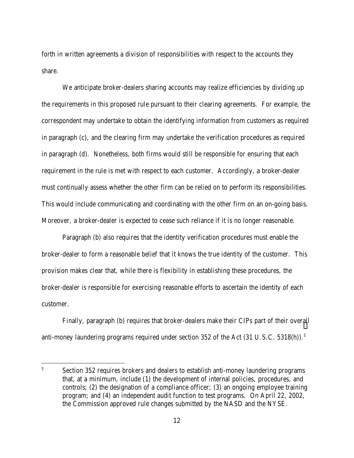forth in written agreements a division of responsibilities with respect to the accounts they share.

We anticipate broker-dealers sharing accounts may realize efficiencies by dividing up the requirements in this proposed rule pursuant to their clearing agreements. For example, the correspondent may undertake to obtain the identifying information from customers as required in paragraph (c), and the clearing firm may undertake the verification procedures as required in paragraph (d). Nonetheless, both firms would still be responsible for ensuring that each requirement in the rule is met with respect to each customer. Accordingly, a broker-dealer must continually assess whether the other firm can be relied on to perform its responsibilities. This would include communicating and coordinating with the other firm on an on-going basis. Moreover, a broker-dealer is expected to cease such reliance if it is no longer reasonable.

Paragraph (b) also requires that the identity verification procedures must enable the broker-dealer to form a reasonable belief that it knows the true identity of the customer. This provision makes clear that, while there is flexibility in establishing these procedures, the broker-dealer is responsible for exercising reasonable efforts to ascertain the identity of each customer.

Finally, paragraph (b) requires that broker-dealers make their CIPs part of their overall anti-money laundering programs required under section 352 of the Act  $(31 \text{ U.S.C. } 5318(h))$ .<sup>5</sup>

 $\overline{a}$ 

<sup>5</sup> Section 352 requires brokers and dealers to establish anti-money laundering programs that, at a minimum, include (1) the development of internal policies, procedures, and controls; (2) the designation of a compliance officer; (3) an ongoing employee training program; and (4) an independent audit function to test programs. On April 22, 2002, the Commission approved rule changes submitted by the NASD and the NYSE.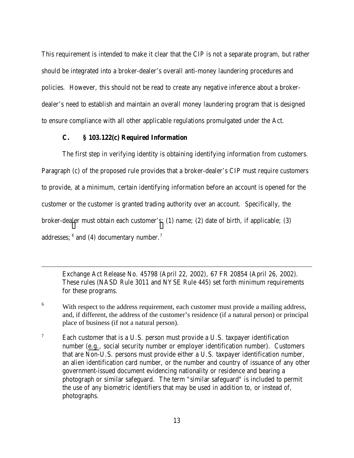This requirement is intended to make it clear that the CIP is not a separate program, but rather should be integrated into a broker-dealer's overall anti-money laundering procedures and policies. However, this should not be read to create any negative inference about a brokerdealer's need to establish and maintain an overall money laundering program that is designed to ensure compliance with all other applicable regulations promulgated under the Act.

# **C. § 103.122(c) Required Information**

 $\overline{a}$ 

The first step in verifying identity is obtaining identifying information from customers. Paragraph (c) of the proposed rule provides that a broker-dealer's CIP must require customers to provide, at a minimum, certain identifying information before an account is opened for the customer or the customer is granted trading authority over an account. Specifically, the broker-dealer must obtain each customer's: (1) name; (2) date of birth, if applicable; (3) addresses;  $6$  and (4) documentary number.<sup>7</sup>

Exchange Act Release No. 45798 (April 22, 2002), 67 FR 20854 (April 26, 2002). These rules (NASD Rule 3011 and NYSE Rule 445) set forth minimum requirements for these programs.

<sup>6</sup> With respect to the address requirement, each customer must provide a mailing address, and, if different, the address of the customer's residence (if a natural person) or principal place of business (if not a natural person).

<sup>7</sup> Each customer that is a U.S. person must provide a U.S. taxpayer identification number (e.g., social security number or employer identification number). Customers that are Non-U.S. persons must provide either a U.S. taxpayer identification number, an alien identification card number, or the number and country of issuance of any other government-issued document evidencing nationality or residence and bearing a photograph or similar safeguard. The term "similar safeguard" is included to permit the use of any biometric identifiers that may be used in addition to, or instead of, photographs.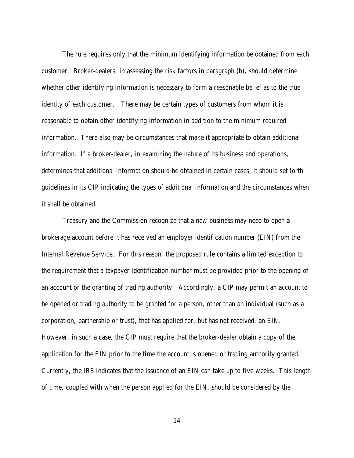The rule requires only that the minimum identifying information be obtained from each customer. Broker-dealers, in assessing the risk factors in paragraph (b), should determine whether other identifying information is necessary to form a reasonable belief as to the true identity of each customer. There may be certain types of customers from whom it is reasonable to obtain other identifying information in addition to the minimum required information. There also may be circumstances that make it appropriate to obtain additional information. If a broker-dealer, in examining the nature of its business and operations, determines that additional information should be obtained in certain cases, it should set forth guidelines in its CIP indicating the types of additional information and the circumstances when it shall be obtained.

Treasury and the Commission recognize that a new business may need to open a brokerage account before it has received an employer identification number (EIN) from the Internal Revenue Service. For this reason, the proposed rule contains a limited exception to the requirement that a taxpayer identification number must be provided prior to the opening of an account or the granting of trading authority. Accordingly, a CIP may permit an account to be opened or trading authority to be granted for a person, other than an individual (such as a corporation, partnership or trust), that has applied for, but has not received, an EIN. However, in such a case, the CIP must require that the broker-dealer obtain a copy of the application for the EIN prior to the time the account is opened or trading authority granted. Currently, the IRS indicates that the issuance of an EIN can take up to five weeks. This length of time, coupled with when the person applied for the EIN, should be considered by the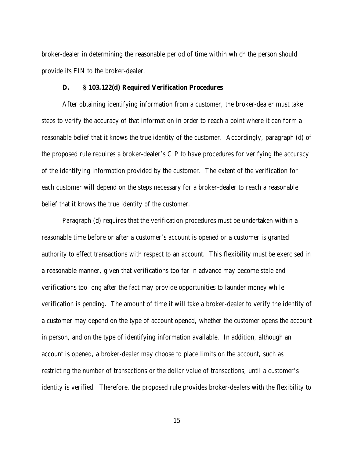broker-dealer in determining the reasonable period of time within which the person should provide its EIN to the broker-dealer.

#### **D. § 103.122(d) Required Verification Procedures**

After obtaining identifying information from a customer, the broker-dealer must take steps to verify the accuracy of that information in order to reach a point where it can form a reasonable belief that it knows the true identity of the customer. Accordingly, paragraph (d) of the proposed rule requires a broker-dealer's CIP to have procedures for verifying the accuracy of the identifying information provided by the customer. The extent of the verification for each customer will depend on the steps necessary for a broker-dealer to reach a reasonable belief that it knows the true identity of the customer.

Paragraph (d) requires that the verification procedures must be undertaken within a reasonable time before or after a customer's account is opened or a customer is granted authority to effect transactions with respect to an account. This flexibility must be exercised in a reasonable manner, given that verifications too far in advance may become stale and verifications too long after the fact may provide opportunities to launder money while verification is pending. The amount of time it will take a broker-dealer to verify the identity of a customer may depend on the type of account opened, whether the customer opens the account in person, and on the type of identifying information available. In addition, although an account is opened, a broker-dealer may choose to place limits on the account, such as restricting the number of transactions or the dollar value of transactions, until a customer's identity is verified. Therefore, the proposed rule provides broker-dealers with the flexibility to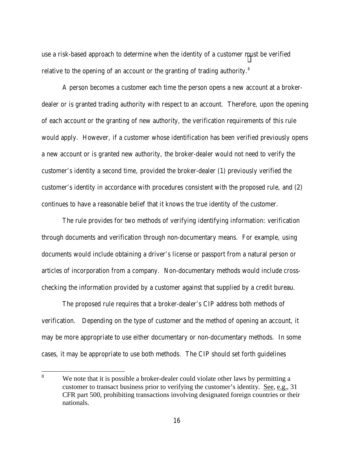use a risk-based approach to determine when the identity of a customer must be verified relative to the opening of an account or the granting of trading authority.<sup>8</sup>

A person becomes a customer each time the person opens a new account at a brokerdealer or is granted trading authority with respect to an account. Therefore, upon the opening of each account or the granting of new authority, the verification requirements of this rule would apply. However, if a customer whose identification has been verified previously opens a new account or is granted new authority, the broker-dealer would not need to verify the customer's identity a second time, provided the broker-dealer (1) previously verified the customer's identity in accordance with procedures consistent with the proposed rule, and (2) continues to have a reasonable belief that it knows the true identity of the customer.

The rule provides for two methods of verifying identifying information: verification through documents and verification through non-documentary means. For example, using documents would include obtaining a driver's license or passport from a natural person or articles of incorporation from a company. Non-documentary methods would include crosschecking the information provided by a customer against that supplied by a credit bureau.

The proposed rule requires that a broker-dealer's CIP address both methods of verification. Depending on the type of customer and the method of opening an account, it may be more appropriate to use either documentary or non-documentary methods. In some cases, it may be appropriate to use both methods. The CIP should set forth guidelines

 8 We note that it is possible a broker-dealer could violate other laws by permitting a customer to transact business prior to verifying the customer's identity. See, e.g., 31 CFR part 500, prohibiting transactions involving designated foreign countries or their nationals.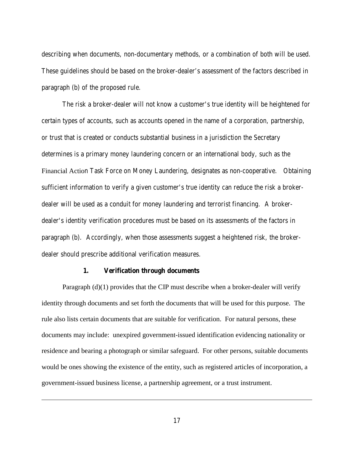describing when documents, non-documentary methods, or a combination of both will be used. These guidelines should be based on the broker-dealer's assessment of the factors described in paragraph (b) of the proposed rule.

The risk a broker-dealer will not know a customer's true identity will be heightened for certain types of accounts, such as accounts opened in the name of a corporation, partnership, or trust that is created or conducts substantial business in a jurisdiction the Secretary determines is a primary money laundering concern or an international body, such as the Financial Action Task Force on Money Laundering, designates as non-cooperative. Obtaining sufficient information to verify a given customer's true identity can reduce the risk a brokerdealer will be used as a conduit for money laundering and terrorist financing.A brokerdealer's identity verification procedures must be based on its assessments of the factors in paragraph (b). Accordingly, when those assessments suggest a heightened risk, the brokerdealer should prescribe additional verification measures.

#### **1. Verification through documents**

l

Paragraph (d)(1) provides that the CIP must describe when a broker-dealer will verify identity through documents and set forth the documents that will be used for this purpose. The rule also lists certain documents that are suitable for verification. For natural persons, these documents may include: unexpired government-issued identification evidencing nationality or residence and bearing a photograph or similar safeguard. For other persons, suitable documents would be ones showing the existence of the entity, such as registered articles of incorporation, a government-issued business license, a partnership agreement, or a trust instrument.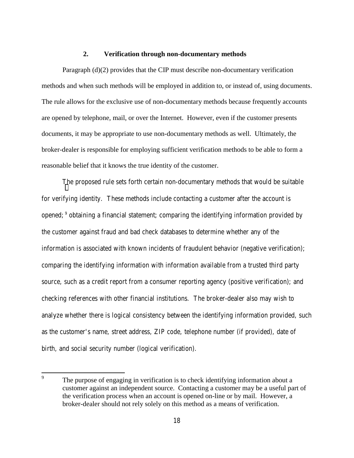#### **2. Verification through non-documentary methods**

Paragraph (d)(2) provides that the CIP must describe non-documentary verification methods and when such methods will be employed in addition to, or instead of, using documents. The rule allows for the exclusive use of non-documentary methods because frequently accounts are opened by telephone, mail, or over the Internet. However, even if the customer presents documents, it may be appropriate to use non-documentary methods as well. Ultimately, the broker-dealer is responsible for employing sufficient verification methods to be able to form a reasonable belief that it knows the true identity of the customer.

The proposed rule sets forth certain non-documentary methods that would be suitable for verifying identity. These methods include contacting a customer after the account is opened; 9 obtaining a financial statement; comparing the identifying information provided by the customer against fraud and bad check databases to determine whether any of the information is associated with known incidents of fraudulent behavior (negative verification); comparing the identifying information with information available from a trusted third party source, such as a credit report from a consumer reporting agency (positive verification); and checking references with other financial institutions. The broker-dealer also may wish to analyze whether there is logical consistency between the identifying information provided, such as the customer's name, street address, ZIP code, telephone number (if provided), date of birth, and social security number (logical verification).

<sup>—&</sup>lt;br>9 The purpose of engaging in verification is to check identifying information about a customer against an independent source. Contacting a customer may be a useful part of the verification process when an account is opened on-line or by mail. However, a broker-dealer should not rely solely on this method as a means of verification.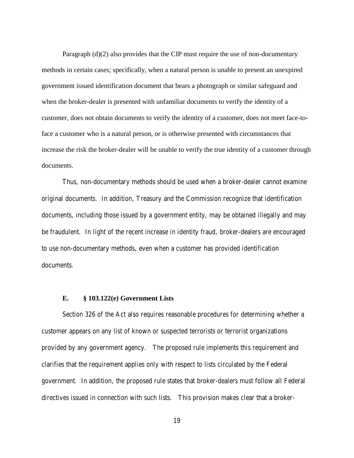Paragraph (d)(2) also provides that the CIP must require the use of non-documentary methods in certain cases; specifically, when a natural person is unable to present an unexpired government issued identification document that bears a photograph or similar safeguard and when the broker-dealer is presented with unfamiliar documents to verify the identity of a customer, does not obtain documents to verify the identity of a customer, does not meet face-toface a customer who is a natural person, or is otherwise presented with circumstances that increase the risk the broker-dealer will be unable to verify the true identity of a customer through documents.

Thus, non-documentary methods should be used when a broker-dealer cannot examine original documents. In addition, Treasury and the Commission recognize that identification documents, including those issued by a government entity, may be obtained illegally and may be fraudulent. In light of the recent increase in identity fraud, broker-dealers are encouraged to use non-documentary methods, even when a customer has provided identification documents.

#### **E. § 103.122(e) Government Lists**

Section 326 of the Act also requires reasonable procedures for determining whether a customer appears on any list of known or suspected terrorists or terrorist organizations provided by any government agency. The proposed rule implements this requirement and clarifies that the requirement applies only with respect to lists circulated by the Federal government. In addition, the proposed rule states that broker-dealers must follow all Federal directives issued in connection with such lists. This provision makes clear that a broker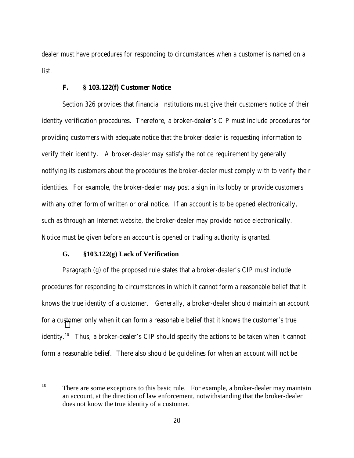dealer must have procedures for responding to circumstances when a customer is named on a list.

#### **F. § 103.122(f) Customer Notice**

Section 326 provides that financial institutions must give their customers notice of their identity verification procedures. Therefore, a broker-dealer's CIP must include procedures for providing customers with adequate notice that the broker-dealer is requesting information to verify their identity. A broker-dealer may satisfy the notice requirement by generally notifying its customers about the procedures the broker-dealer must comply with to verify their identities. For example, the broker-dealer may post a sign in its lobby or provide customers with any other form of written or oral notice. If an account is to be opened electronically, such as through an Internet website, the broker-dealer may provide notice electronically. Notice must be given before an account is opened or trading authority is granted.

## **G. §103.122(g) Lack of Verification**

 $\overline{a}$ 

Paragraph (g) of the proposed rule states that a broker-dealer's CIP must include procedures for responding to circumstances in which it cannot form a reasonable belief that it knows the true identity of a customer. Generally, a broker-dealer should maintain an account for a customer only when it can form a reasonable belief that it knows the customer's true identity.<sup>10</sup> Thus, a broker-dealer's CIP should specify the actions to be taken when it cannot form a reasonable belief. There also should be guidelines for when an account will not be

<sup>&</sup>lt;sup>10</sup> There are some exceptions to this basic rule. For example, a broker-dealer may maintain an account, at the direction of law enforcement, notwithstanding that the broker-dealer does not know the true identity of a customer.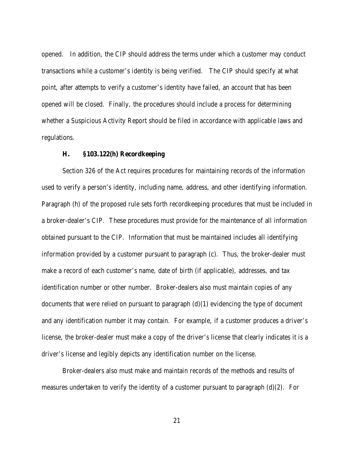opened. In addition, the CIP should address the terms under which a customer may conduct transactions while a customer's identity is being verified. The CIP should specify at what point, after attempts to verify a customer's identity have failed, an account that has been opened will be closed. Finally, the procedures should include a process for determining whether a Suspicious Activity Report should be filed in accordance with applicable laws and regulations.

## **H. §103.122(h) Recordkeeping**

Section 326 of the Act requires procedures for maintaining records of the information used to verify a person's identity, including name, address, and other identifying information. Paragraph (h) of the proposed rule sets forth recordkeeping procedures that must be included in a broker-dealer's CIP. These procedures must provide for the maintenance of all information obtained pursuant to the CIP. Information that must be maintained includes all identifying information provided by a customer pursuant to paragraph (c). Thus, the broker-dealer must make a record of each customer's name, date of birth (if applicable), addresses, and tax identification number or other number. Broker-dealers also must maintain copies of any documents that were relied on pursuant to paragraph  $(d)(1)$  evidencing the type of document and any identification number it may contain. For example, if a customer produces a driver's license, the broker-dealer must make a copy of the driver's license that clearly indicates it is a driver's license and legibly depicts any identification number on the license.

Broker-dealers also must make and maintain records of the methods and results of measures undertaken to verify the identity of a customer pursuant to paragraph (d)(2). For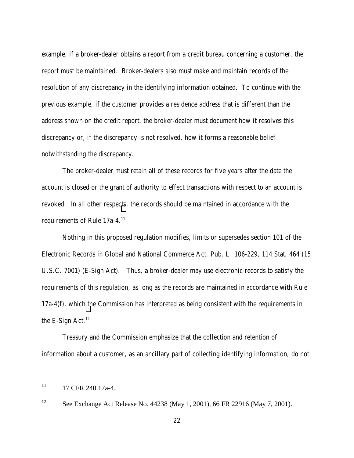example, if a broker-dealer obtains a report from a credit bureau concerning a customer, the report must be maintained. Broker-dealers also must make and maintain records of the resolution of any discrepancy in the identifying information obtained. To continue with the previous example, if the customer provides a residence address that is different than the address shown on the credit report, the broker-dealer must document how it resolves this discrepancy or, if the discrepancy is not resolved, how it forms a reasonable belief notwithstanding the discrepancy.

The broker-dealer must retain all of these records for five years after the date the account is closed or the grant of authority to effect transactions with respect to an account is revoked. In all other respects, the records should be maintained in accordance with the requirements of Rule 17a-4.11

Nothing in this proposed regulation modifies, limits or supersedes section 101 of the Electronic Records in Global and National Commerce Act, Pub. L. 106-229, 114 Stat. 464 (15 U.S.C. 7001) (E-Sign Act). Thus, a broker-dealer may use electronic records to satisfy the requirements of this regulation, as long as the records are maintained in accordance with Rule 17a-4(f), which the Commission has interpreted as being consistent with the requirements in the E-Sign Act. $12$ 

Treasury and the Commission emphasize that the collection and retention of information about a customer, as an ancillary part of collecting identifying information, do not

 $11\,$ <sup>11</sup> 17 CFR 240.17a-4.

<sup>12</sup> See Exchange Act Release No. 44238 (May 1, 2001), 66 FR 22916 (May 7, 2001).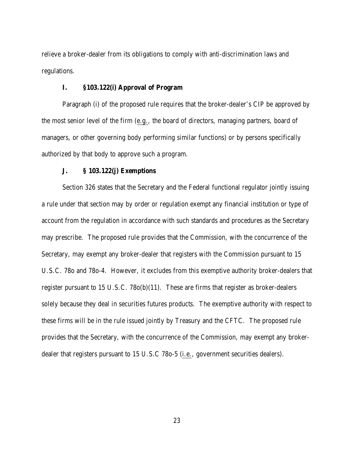relieve a broker-dealer from its obligations to comply with anti-discrimination laws and regulations.

## **I. §103.122(i) Approval of Program**

Paragraph (i) of the proposed rule requires that the broker-dealer's CIP be approved by the most senior level of the firm (e.g., the board of directors, managing partners, board of managers, or other governing body performing similar functions) or by persons specifically authorized by that body to approve such a program.

# **J. § 103.122(j) Exemptions**

Section 326 states that the Secretary and the Federal functional regulator jointly issuing a rule under that section may by order or regulation exempt any financial institution or type of account from the regulation in accordance with such standards and procedures as the Secretary may prescribe. The proposed rule provides that the Commission, with the concurrence of the Secretary, may exempt any broker-dealer that registers with the Commission pursuant to 15 U.S.C. 78o and 78o-4. However, it excludes from this exemptive authority broker-dealers that register pursuant to 15 U.S.C. 78o(b)(11). These are firms that register as broker-dealers solely because they deal in securities futures products. The exemptive authority with respect to these firms will be in the rule issued jointly by Treasury and the CFTC. The proposed rule provides that the Secretary, with the concurrence of the Commission, may exempt any brokerdealer that registers pursuant to 15 U.S.C 78o-5 (i.e., government securities dealers).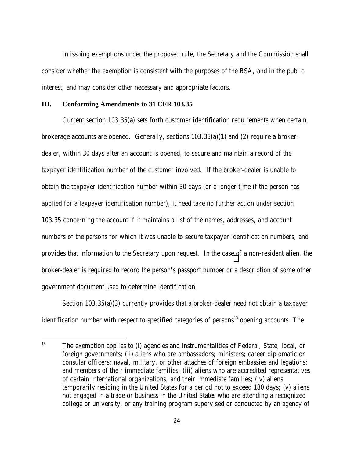In issuing exemptions under the proposed rule, the Secretary and the Commission shall consider whether the exemption is consistent with the purposes of the BSA, and in the public interest, and may consider other necessary and appropriate factors.

#### **III. Conforming Amendments to 31 CFR 103.35**

 $\overline{a}$ 

Current section 103.35(a) sets forth customer identification requirements when certain brokerage accounts are opened. Generally, sections 103.35(a)(1) and (2) require a brokerdealer, within 30 days after an account is opened, to secure and maintain a record of the taxpayer identification number of the customer involved. If the broker-dealer is unable to obtain the taxpayer identification number within 30 days (or a longer time if the person has applied for a taxpayer identification number), it need take no further action under section 103.35 concerning the account if it maintains a list of the names, addresses, and account numbers of the persons for which it was unable to secure taxpayer identification numbers, and provides that information to the Secretary upon request. In the case of a non-resident alien, the broker-dealer is required to record the person's passport number or a description of some other government document used to determine identification.

Section 103.35(a)(3) currently provides that a broker-dealer need not obtain a taxpayer identification number with respect to specified categories of persons<sup>13</sup> opening accounts. The

<sup>&</sup>lt;sup>13</sup> The exemption applies to (i) agencies and instrumentalities of Federal, State, local, or foreign governments; (ii) aliens who are ambassadors; ministers; career diplomatic or consular officers; naval, military, or other attaches of foreign embassies and legations; and members of their immediate families; (iii) aliens who are accredited representatives of certain international organizations, and their immediate families; (iv) aliens temporarily residing in the United States for a period not to exceed 180 days; (v) aliens not engaged in a trade or business in the United States who are attending a recognized college or university, or any training program supervised or conducted by an agency of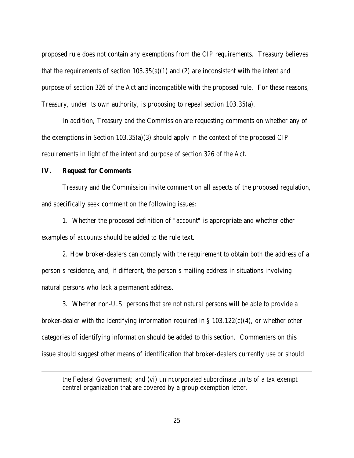proposed rule does not contain any exemptions from the CIP requirements. Treasury believes that the requirements of section  $103.35(a)(1)$  and (2) are inconsistent with the intent and purpose of section 326 of the Act and incompatible with the proposed rule. For these reasons, Treasury, under its own authority, is proposing to repeal section 103.35(a).

In addition, Treasury and the Commission are requesting comments on whether any of the exemptions in Section 103.35(a)(3) should apply in the context of the proposed CIP requirements in light of the intent and purpose of section 326 of the Act.

#### **IV. Request for Comments**

 $\overline{a}$ 

Treasury and the Commission invite comment on all aspects of the proposed regulation, and specifically seek comment on the following issues:

1. Whether the proposed definition of "account" is appropriate and whether other examples of accounts should be added to the rule text.

2. How broker-dealers can comply with the requirement to obtain both the address of a person's residence, and, if different, the person's mailing address in situations involving natural persons who lack a permanent address.

3. Whether non-U.S. persons that are not natural persons will be able to provide a broker-dealer with the identifying information required in § 103.122(c)(4), or whether other categories of identifying information should be added to this section. Commenters on this issue should suggest other means of identification that broker-dealers currently use or should

the Federal Government; and (vi) unincorporated subordinate units of a tax exempt central organization that are covered by a group exemption letter.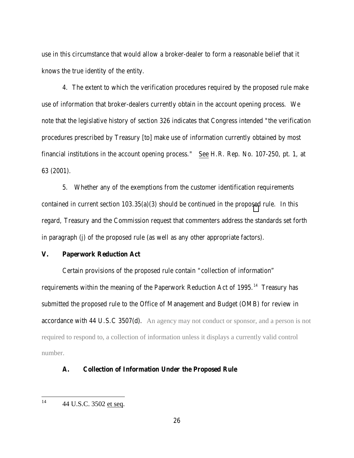use in this circumstance that would allow a broker-dealer to form a reasonable belief that it knows the true identity of the entity.

4. The extent to which the verification procedures required by the proposed rule make use of information that broker-dealers currently obtain in the account opening process. We note that the legislative history of section 326 indicates that Congress intended "the verification procedures prescribed by Treasury [to] make use of information currently obtained by most financial institutions in the account opening process." See H.R. Rep. No. 107-250, pt. 1, at 63 (2001).

5. Whether any of the exemptions from the customer identification requirements contained in current section 103.35(a)(3) should be continued in the proposed rule. In this regard, Treasury and the Commission request that commenters address the standards set forth in paragraph (j) of the proposed rule (as well as any other appropriate factors).

## **V. Paperwork Reduction Act**

Certain provisions of the proposed rule contain "collection of information" requirements within the meaning of the Paperwork Reduction Act of 1995.<sup>14</sup> Treasury has submitted the proposed rule to the Office of Management and Budget (OMB) for review in accordance with 44 U.S.C 3507(d). An agency may not conduct or sponsor, and a person is not required to respond to, a collection of information unless it displays a currently valid control number.

# **A. Collection of Information Under the Proposed Rule**

 $14$ 14 44 U.S.C. 3502 et seq.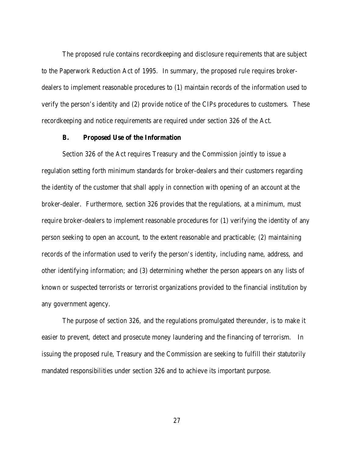The proposed rule contains recordkeeping and disclosure requirements that are subject to the Paperwork Reduction Act of 1995. In summary, the proposed rule requires brokerdealers to implement reasonable procedures to (1) maintain records of the information used to verify the person's identity and (2) provide notice of the CIPs procedures to customers. These recordkeeping and notice requirements are required under section 326 of the Act.

## **B. Proposed Use of the Information**

Section 326 of the Act requires Treasury and the Commission jointly to issue a regulation setting forth minimum standards for broker-dealers and their customers regarding the identity of the customer that shall apply in connection with opening of an account at the broker-dealer. Furthermore, section 326 provides that the regulations, at a minimum, must require broker-dealers to implement reasonable procedures for (1) verifying the identity of any person seeking to open an account, to the extent reasonable and practicable; (2) maintaining records of the information used to verify the person's identity, including name, address, and other identifying information; and (3) determining whether the person appears on any lists of known or suspected terrorists or terrorist organizations provided to the financial institution by any government agency.

The purpose of section 326, and the regulations promulgated thereunder, is to make it easier to prevent, detect and prosecute money laundering and the financing of terrorism. In issuing the proposed rule, Treasury and the Commission are seeking to fulfill their statutorily mandated responsibilities under section 326 and to achieve its important purpose.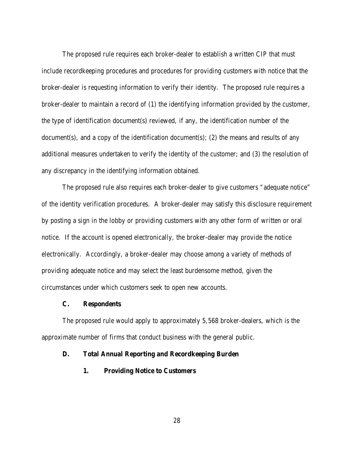The proposed rule requires each broker-dealer to establish a written CIP that must include recordkeeping procedures and procedures for providing customers with notice that the broker-dealer is requesting information to verify their identity. The proposed rule requires a broker-dealer to maintain a record of (1) the identifying information provided by the customer, the type of identification document(s) reviewed, if any, the identification number of the document(s), and a copy of the identification document(s); (2) the means and results of any additional measures undertaken to verify the identity of the customer; and (3) the resolution of any discrepancy in the identifying information obtained.

The proposed rule also requires each broker-dealer to give customers "adequate notice" of the identity verification procedures. A broker-dealer may satisfy this disclosure requirement by posting a sign in the lobby or providing customers with any other form of written or oral notice. If the account is opened electronically, the broker-dealer may provide the notice electronically. Accordingly, a broker-dealer may choose among a variety of methods of providing adequate notice and may select the least burdensome method, given the circumstances under which customers seek to open new accounts.

## **C. Respondents**

The proposed rule would apply to approximately 5,568 broker-dealers, which is the approximate number of firms that conduct business with the general public.

#### **D. Total Annual Reporting and Recordkeeping Burden**

**1. Providing Notice to Customers**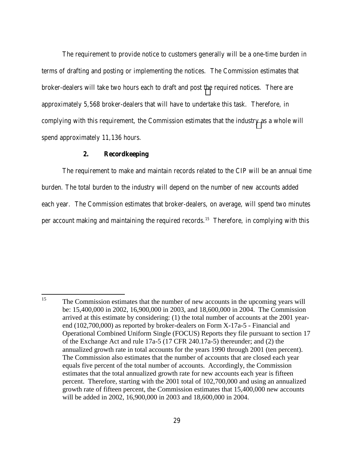The requirement to provide notice to customers generally will be a one-time burden in terms of drafting and posting or implementing the notices. The Commission estimates that broker-dealers will take two hours each to draft and post the required notices. There are approximately 5,568 broker-dealers that will have to undertake this task. Therefore, in complying with this requirement, the Commission estimates that the industry as a whole will spend approximately 11,136 hours.

## **2. Recordkeeping**

The requirement to make and maintain records related to the CIP will be an annual time burden. The total burden to the industry will depend on the number of new accounts added each year. The Commission estimates that broker-dealers, on average, will spend two minutes per account making and maintaining the required records.<sup>15</sup> Therefore, in complying with this

 $15<sup>15</sup>$ The Commission estimates that the number of new accounts in the upcoming years will be: 15,400,000 in 2002, 16,900,000 in 2003, and 18,600,000 in 2004. The Commission arrived at this estimate by considering: (1) the total number of accounts at the 2001 yearend (102,700,000) as reported by broker-dealers on Form X-17a-5 - Financial and Operational Combined Uniform Single (FOCUS) Reports they file pursuant to section 17 of the Exchange Act and rule 17a-5 (17 CFR 240.17a-5) thereunder; and (2) the annualized growth rate in total accounts for the years 1990 through 2001 (ten percent). The Commission also estimates that the number of accounts that are closed each year equals five percent of the total number of accounts. Accordingly, the Commission estimates that the total annualized growth rate for new accounts each year is fifteen percent. Therefore, starting with the 2001 total of 102,700,000 and using an annualized growth rate of fifteen percent, the Commission estimates that 15,400,000 new accounts will be added in 2002, 16,900,000 in 2003 and 18,600,000 in 2004.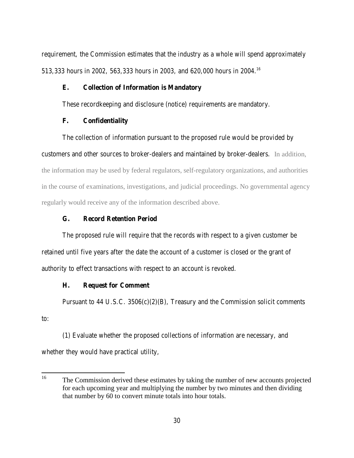requirement, the Commission estimates that the industry as a whole will spend approximately 513,333 hours in 2002, 563,333 hours in 2003, and 620,000 hours in 2004.16

## **E. Collection of Information is Mandatory**

These recordkeeping and disclosure (notice) requirements are mandatory.

## **F. Confidentiality**

The collection of information pursuant to the proposed rule would be provided by customers and other sources to broker-dealers and maintained by broker-dealers. In addition, the information may be used by federal regulators, self-regulatory organizations, and authorities in the course of examinations, investigations, and judicial proceedings. No governmental agency regularly would receive any of the information described above.

## **G. Record Retention Period**

The proposed rule will require that the records with respect to a given customer be retained until five years after the date the account of a customer is closed or the grant of authority to effect transactions with respect to an account is revoked.

## **H. Request for Comment**

Pursuant to 44 U.S.C.  $3506(c)(2)(B)$ , Treasury and the Commission solicit comments to:

(1) Evaluate whether the proposed collections of information are necessary, and whether they would have practical utility,

<sup>16</sup> 16 The Commission derived these estimates by taking the number of new accounts projected for each upcoming year and multiplying the number by two minutes and then dividing that number by 60 to convert minute totals into hour totals.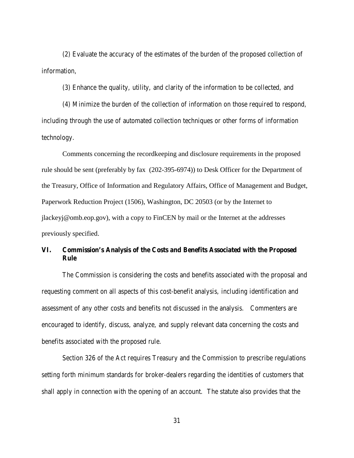(2) Evaluate the accuracy of the estimates of the burden of the proposed collection of information,

(3) Enhance the quality, utility, and clarity of the information to be collected, and

(4) Minimize the burden of the collection of information on those required to respond, including through the use of automated collection techniques or other forms of information technology.

Comments concerning the recordkeeping and disclosure requirements in the proposed rule should be sent (preferably by fax (202-395-6974)) to Desk Officer for the Department of the Treasury, Office of Information and Regulatory Affairs, Office of Management and Budget, Paperwork Reduction Project (1506), Washington, DC 20503 (or by the Internet to jlackeyj@omb.eop.gov), with a copy to FinCEN by mail or the Internet at the addresses previously specified.

# **VI. Commission's Analysis of the Costs and Benefits Associated with the Proposed Rule**

The Commission is considering the costs and benefits associated with the proposal and requesting comment on all aspects of this cost-benefit analysis, including identification and assessment of any other costs and benefits not discussed in the analysis. Commenters are encouraged to identify, discuss, analyze, and supply relevant data concerning the costs and benefits associated with the proposed rule.

Section 326 of the Act requires Treasury and the Commission to prescribe regulations setting forth minimum standards for broker-dealers regarding the identities of customers that shall apply in connection with the opening of an account. The statute also provides that the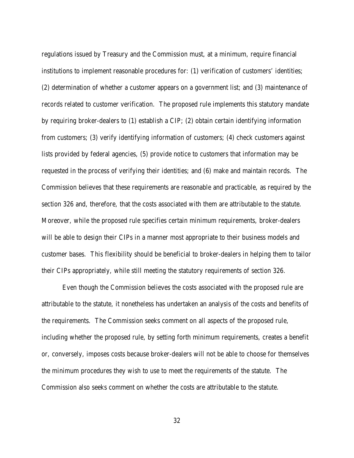regulations issued by Treasury and the Commission must, at a minimum, require financial institutions to implement reasonable procedures for: (1) verification of customers' identities; (2) determination of whether a customer appears on a government list; and (3) maintenance of records related to customer verification. The proposed rule implements this statutory mandate by requiring broker-dealers to (1) establish a CIP; (2) obtain certain identifying information from customers; (3) verify identifying information of customers; (4) check customers against lists provided by federal agencies, (5) provide notice to customers that information may be requested in the process of verifying their identities; and (6) make and maintain records. The Commission believes that these requirements are reasonable and practicable, as required by the section 326 and, therefore, that the costs associated with them are attributable to the statute. Moreover, while the proposed rule specifies certain minimum requirements, broker-dealers will be able to design their CIPs in a manner most appropriate to their business models and customer bases. This flexibility should be beneficial to broker-dealers in helping them to tailor their CIPs appropriately, while still meeting the statutory requirements of section 326.

Even though the Commission believes the costs associated with the proposed rule are attributable to the statute, it nonetheless has undertaken an analysis of the costs and benefits of the requirements. The Commission seeks comment on all aspects of the proposed rule, including whether the proposed rule, by setting forth minimum requirements, creates a benefit or, conversely, imposes costs because broker-dealers will not be able to choose for themselves the minimum procedures they wish to use to meet the requirements of the statute. The Commission also seeks comment on whether the costs are attributable to the statute.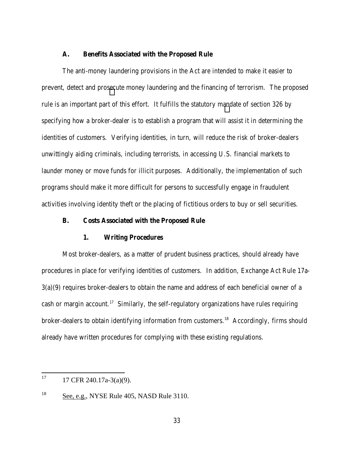## **A. Benefits Associated with the Proposed Rule**

The anti-money laundering provisions in the Act are intended to make it easier to prevent, detect and prosecute money laundering and the financing of terrorism. The proposed rule is an important part of this effort. It fulfills the statutory mandate of section 326 by specifying how a broker-dealer is to establish a program that will assist it in determining the identities of customers. Verifying identities, in turn, will reduce the risk of broker-dealers unwittingly aiding criminals, including terrorists, in accessing U.S. financial markets to launder money or move funds for illicit purposes. Additionally, the implementation of such programs should make it more difficult for persons to successfully engage in fraudulent activities involving identity theft or the placing of fictitious orders to buy or sell securities.

## **B. Costs Associated with the Proposed Rule**

#### **1. Writing Procedures**

Most broker-dealers, as a matter of prudent business practices, should already have procedures in place for verifying identities of customers. In addition, Exchange Act Rule 17a-3(a)(9) requires broker-dealers to obtain the name and address of each beneficial owner of a cash or margin account.<sup>17</sup> Similarly, the self-regulatory organizations have rules requiring broker-dealers to obtain identifying information from customers.<sup>18</sup> Accordingly, firms should already have written procedures for complying with these existing regulations.

<sup>17</sup> 17 CFR 240.17a-3(a)(9).

<sup>&</sup>lt;sup>18</sup> See, e.g., NYSE Rule 405, NASD Rule 3110.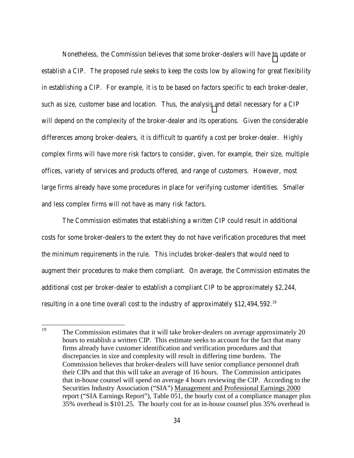Nonetheless, the Commission believes that some broker-dealers will have to update or establish a CIP. The proposed rule seeks to keep the costs low by allowing for great flexibility in establishing a CIP. For example, it is to be based on factors specific to each broker-dealer, such as size, customer base and location. Thus, the analysis and detail necessary for a CIP will depend on the complexity of the broker-dealer and its operations. Given the considerable differences among broker-dealers, it is difficult to quantify a cost per broker-dealer. Highly complex firms will have more risk factors to consider, given, for example, their size, multiple offices, variety of services and products offered, and range of customers. However, most large firms already have some procedures in place for verifying customer identities. Smaller and less complex firms will not have as many risk factors.

The Commission estimates that establishing a written CIP could result in additional costs for some broker-dealers to the extent they do not have verification procedures that meet the minimum requirements in the rule. This includes broker-dealers that would need to augment their procedures to make them compliant. On average, the Commission estimates the additional cost per broker-dealer to establish a compliant CIP to be approximately \$2,244, resulting in a one time overall cost to the industry of approximately \$12,494,592.19

<sup>19</sup> The Commission estimates that it will take broker-dealers on average approximately 20 hours to establish a written CIP. This estimate seeks to account for the fact that many firms already have customer identification and verification procedures and that discrepancies in size and complexity will result in differing time burdens. The Commission believes that broker-dealers will have senior compliance personnel draft their CIPs and that this will take an average of 16 hours. The Commission anticipates that in-house counsel will spend on average 4 hours reviewing the CIP. According to the Securities Industry Association ("SIA") Management and Professional Earnings 2000 report ("SIA Earnings Report"), Table 051, the hourly cost of a compliance manager plus 35% overhead is \$101.25. The hourly cost for an in-house counsel plus 35% overhead is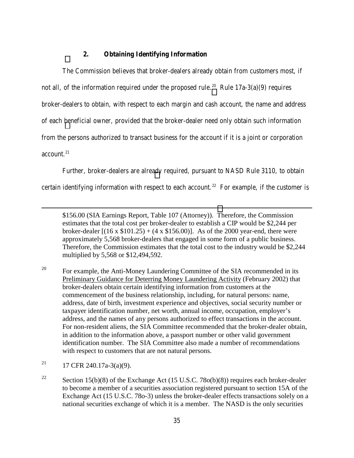# **2. Obtaining Identifying Information**

The Commission believes that broker-dealers already obtain from customers most, if not all, of the information required under the proposed rule.<sup>20</sup> Rule  $17a-3(a)(9)$  requires broker-dealers to obtain, with respect to each margin and cash account, the name and address of each beneficial owner, provided that the broker-dealer need only obtain such information from the persons authorized to transact business for the account if it is a joint or corporation  $\arccon\atop{0}$ 

Further, broker-dealers are already required, pursuant to NASD Rule 3110, to obtain certain identifying information with respect to each account.<sup>22</sup> For example, if the customer is

\$156.00 (SIA Earnings Report, Table 107 (Attorney)). Therefore, the Commission estimates that the total cost per broker-dealer to establish a CIP would be \$2,244 per broker-dealer  $[(16 \times $101.25) + (4 \times $156.00)]$ . As of the 2000 year-end, there were approximately 5,568 broker-dealers that engaged in some form of a public business. Therefore, the Commission estimates that the total cost to the industry would be \$2,244 multiplied by 5,568 or \$12,494,592.

<sup>20</sup> For example, the Anti-Money Laundering Committee of the SIA recommended in its Preliminary Guidance for Deterring Money Laundering Activity (February 2002) that broker-dealers obtain certain identifying information from customers at the commencement of the business relationship, including, for natural persons: name, address, date of birth, investment experience and objectives, social security number or taxpayer identification number, net worth, annual income, occupation, employer's address, and the names of any persons authorized to effect transactions in the account. For non-resident aliens, the SIA Committee recommended that the broker-dealer obtain, in addition to the information above, a passport number or other valid government identification number. The SIA Committee also made a number of recommendations with respect to customers that are not natural persons.

<sup>21</sup> 17 CFR 240.17a-3(a)(9).

l

<sup>22</sup> Section 15(b)(8) of the Exchange Act (15 U.S.C. 78o(b)(8)) requires each broker-dealer to become a member of a securities association registered pursuant to section 15A of the Exchange Act (15 U.S.C. 78o-3) unless the broker-dealer effects transactions solely on a national securities exchange of which it is a member. The NASD is the only securities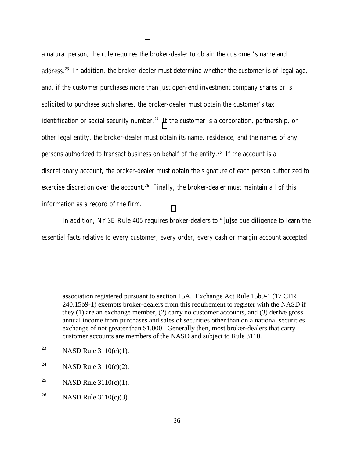a natural person, the rule requires the broker-dealer to obtain the customer's name and address.<sup>23</sup> In addition, the broker-dealer must determine whether the customer is of legal age, and, if the customer purchases more than just open-end investment company shares or is solicited to purchase such shares, the broker-dealer must obtain the customer's tax identification or social security number.<sup>24</sup> If the customer is a corporation, partnership, or other legal entity, the broker-dealer must obtain its name, residence, and the names of any persons authorized to transact business on behalf of the entity.<sup>25</sup> If the account is a discretionary account, the broker-dealer must obtain the signature of each person authorized to exercise discretion over the account.<sup>26</sup> Finally, the broker-dealer must maintain all of this information as a record of the firm.

In addition, NYSE Rule 405 requires broker-dealers to "[u]se due diligence to learn the essential facts relative to every customer, every order, every cash or margin account accepted

association registered pursuant to section 15A. Exchange Act Rule 15b9-1 (17 CFR 240.15b9-1) exempts broker-dealers from this requirement to register with the NASD if they (1) are an exchange member, (2) carry no customer accounts, and (3) derive gross annual income from purchases and sales of securities other than on a national securities exchange of not greater than \$1,000. Generally then, most broker-dealers that carry customer accounts are members of the NASD and subject to Rule 3110.

<sup>23</sup> NASD Rule  $3110(c)(1)$ .

l

- <sup>24</sup> NASD Rule  $3110(c)(2)$ .
- <sup>25</sup> NASD Rule  $3110(c)(1)$ .
- <sup>26</sup> NASD Rule  $3110(c)(3)$ .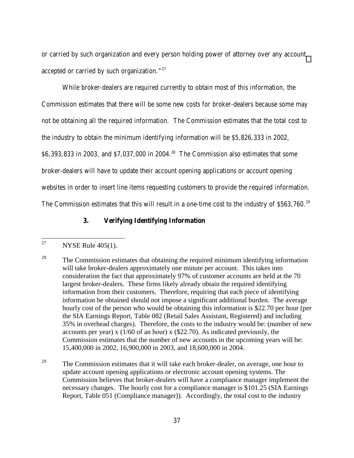or carried by such organization and every person holding power of attorney over any account accepted or carried by such organization."27

While broker-dealers are required currently to obtain most of this information, the Commission estimates that there will be some new costs for broker-dealers because some may not be obtaining all the required information. The Commission estimates that the total cost to the industry to obtain the minimum identifying information will be \$5,826,333 in 2002, \$6,393,833 in 2003, and \$7,037,000 in 2004.28 The Commission also estimates that some broker-dealers will have to update their account opening applications or account opening websites in order to insert line items requesting customers to provide the required information. The Commission estimates that this will result in a one-time cost to the industry of \$563,760.<sup>29</sup>

# **3. Verifying Identifying Information**

<sup>27</sup> NYSE Rule  $405(1)$ .

<sup>&</sup>lt;sup>28</sup> The Commission estimates that obtaining the required minimum identifying information will take broker-dealers approximately one minute per account. This takes into consideration the fact that approximately 97% of customer accounts are held at the 70 largest broker-dealers. These firms likely already obtain the required identifying information from their customers. Therefore, requiring that each piece of identifying information be obtained should not impose a significant additional burden. The average hourly cost of the person who would be obtaining this information is \$22.70 per hour (per the SIA Earnings Report, Table 082 (Retail Sales Assistant, Registered) and including 35% in overhead charges). Therefore, the costs to the industry would be: (number of new accounts per year) x  $(1/60 \text{ of an hour})$  x  $(\$22.70)$ . As indicated previously, the Commission estimates that the number of new accounts in the upcoming years will be: 15,400,000 in 2002, 16,900,000 in 2003, and 18,600,000 in 2004.

<sup>&</sup>lt;sup>29</sup> The Commission estimates that it will take each broker-dealer, on average, one hour to update account opening applications or electronic account opening systems. The Commission believes that broker-dealers will have a compliance manager implement the necessary changes. The hourly cost for a compliance manager is \$101.25 (SIA Earnings Report, Table 051 (Compliance manager)). Accordingly, the total cost to the industry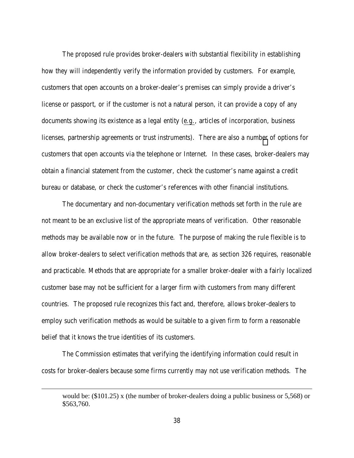The proposed rule provides broker-dealers with substantial flexibility in establishing how they will independently verify the information provided by customers. For example, customers that open accounts on a broker-dealer's premises can simply provide a driver's license or passport, or if the customer is not a natural person, it can provide a copy of any documents showing its existence as a legal entity (e.g., articles of incorporation, business licenses, partnership agreements or trust instruments). There are also a number of options for customers that open accounts via the telephone or Internet. In these cases, broker-dealers may obtain a financial statement from the customer, check the customer's name against a credit bureau or database, or check the customer's references with other financial institutions.

The documentary and non-documentary verification methods set forth in the rule are not meant to be an exclusive list of the appropriate means of verification. Other reasonable methods may be available now or in the future. The purpose of making the rule flexible is to allow broker-dealers to select verification methods that are, as section 326 requires, reasonable and practicable. Methods that are appropriate for a smaller broker-dealer with a fairly localized customer base may not be sufficient for a larger firm with customers from many different countries. The proposed rule recognizes this fact and, therefore, allows broker-dealers to employ such verification methods as would be suitable to a given firm to form a reasonable belief that it knows the true identities of its customers.

The Commission estimates that verifying the identifying information could result in costs for broker-dealers because some firms currently may not use verification methods. The

l

would be: (\$101.25) x (the number of broker-dealers doing a public business or 5,568) or \$563,760.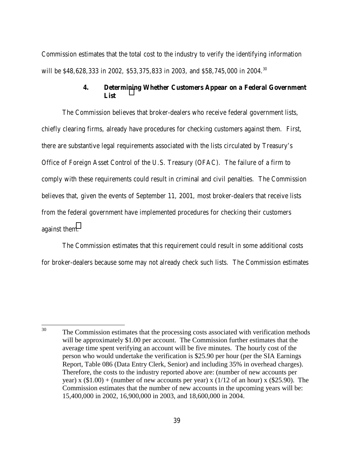Commission estimates that the total cost to the industry to verify the identifying information will be \$48,628,333 in 2002, \$53,375,833 in 2003, and \$58,745,000 in 2004.<sup>30</sup>

# **4. Determining Whether Customers Appear on a Federal Government List**

The Commission believes that broker-dealers who receive federal government lists, chiefly clearing firms, already have procedures for checking customers against them. First, there are substantive legal requirements associated with the lists circulated by Treasury's Office of Foreign Asset Control of the U.S. Treasury (OFAC). The failure of a firm to comply with these requirements could result in criminal and civil penalties. The Commission believes that, given the events of September 11, 2001, most broker-dealers that receive lists from the federal government have implemented procedures for checking their customers against them.

The Commission estimates that this requirement could result in some additional costs for broker-dealers because some may not already check such lists. The Commission estimates

<sup>30</sup> The Commission estimates that the processing costs associated with verification methods will be approximately \$1.00 per account. The Commission further estimates that the average time spent verifying an account will be five minutes. The hourly cost of the person who would undertake the verification is \$25.90 per hour (per the SIA Earnings Report, Table 086 (Data Entry Clerk, Senior) and including 35% in overhead charges). Therefore, the costs to the industry reported above are: (number of new accounts per year) x  $(\$1.00) +$  (number of new accounts per year) x  $(1/12 \text{ of an hour})$  x  $(\$25.90)$ . The Commission estimates that the number of new accounts in the upcoming years will be: 15,400,000 in 2002, 16,900,000 in 2003, and 18,600,000 in 2004.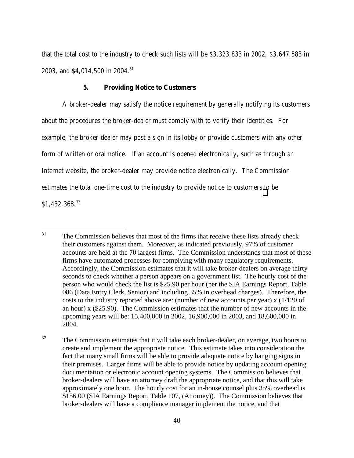that the total cost to the industry to check such lists will be \$3,323,833 in 2002, \$3,647,583 in 2003, and \$4,014,500 in 2004.<sup>31</sup>

## **5. Providing Notice to Customers**

A broker-dealer may satisfy the notice requirement by generally notifying its customers about the procedures the broker-dealer must comply with to verify their identities. For example, the broker-dealer may post a sign in its lobby or provide customers with any other form of written or oral notice. If an account is opened electronically, such as through an Internet website, the broker-dealer may provide notice electronically. The Commission estimates the total one-time cost to the industry to provide notice to customers to be \$1,432,368.<sup>32</sup>

<sup>31</sup> The Commission believes that most of the firms that receive these lists already check their customers against them. Moreover, as indicated previously, 97% of customer accounts are held at the 70 largest firms. The Commission understands that most of these firms have automated processes for complying with many regulatory requirements. Accordingly, the Commission estimates that it will take broker-dealers on average thirty seconds to check whether a person appears on a government list. The hourly cost of the person who would check the list is \$25.90 per hour (per the SIA Earnings Report, Table 086 (Data Entry Clerk, Senior) and including 35% in overhead charges). Therefore, the costs to the industry reported above are: (number of new accounts per year) x (1/120 of an hour) x (\$25.90). The Commission estimates that the number of new accounts in the upcoming years will be: 15,400,000 in 2002, 16,900,000 in 2003, and 18,600,000 in 2004.

<sup>&</sup>lt;sup>32</sup> The Commission estimates that it will take each broker-dealer, on average, two hours to create and implement the appropriate notice. This estimate takes into consideration the fact that many small firms will be able to provide adequate notice by hanging signs in their premises. Larger firms will be able to provide notice by updating account opening documentation or electronic account opening systems. The Commission believes that broker-dealers will have an attorney draft the appropriate notice, and that this will take approximately one hour. The hourly cost for an in-house counsel plus 35% overhead is \$156.00 (SIA Earnings Report, Table 107, (Attorney)). The Commission believes that broker-dealers will have a compliance manager implement the notice, and that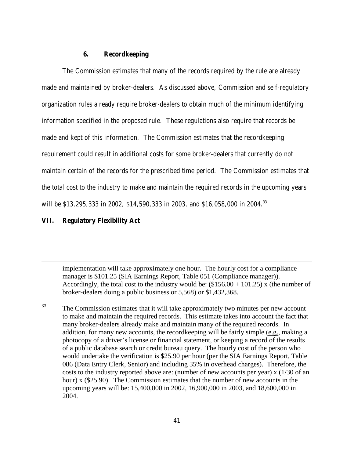## **6. Recordkeeping**

The Commission estimates that many of the records required by the rule are already made and maintained by broker-dealers. As discussed above, Commission and self-regulatory organization rules already require broker-dealers to obtain much of the minimum identifying information specified in the proposed rule. These regulations also require that records be made and kept of this information. The Commission estimates that the recordkeeping requirement could result in additional costs for some broker-dealers that currently do not maintain certain of the records for the prescribed time period. The Commission estimates that the total cost to the industry to make and maintain the required records in the upcoming years will be \$13,295,333 in 2002, \$14,590,333 in 2003, and \$16,058,000 in 2004.<sup>33</sup>

# **VII. Regulatory Flexibility Act**

l

implementation will take approximately one hour. The hourly cost for a compliance manager is \$101.25 (SIA Earnings Report, Table 051 (Compliance manager)). Accordingly, the total cost to the industry would be:  $(\$156.00 + 101.25)$  x (the number of broker-dealers doing a public business or 5,568) or \$1,432,368.

<sup>33</sup> The Commission estimates that it will take approximately two minutes per new account to make and maintain the required records. This estimate takes into account the fact that many broker-dealers already make and maintain many of the required records. In addition, for many new accounts, the recordkeeping will be fairly simple (e.g., making a photocopy of a driver's license or financial statement, or keeping a record of the results of a public database search or credit bureau query. The hourly cost of the person who would undertake the verification is \$25.90 per hour (per the SIA Earnings Report, Table 086 (Data Entry Clerk, Senior) and including 35% in overhead charges). Therefore, the costs to the industry reported above are: (number of new accounts per year) x (1/30 of an hour) x (\$25.90). The Commission estimates that the number of new accounts in the upcoming years will be: 15,400,000 in 2002, 16,900,000 in 2003, and 18,600,000 in 2004.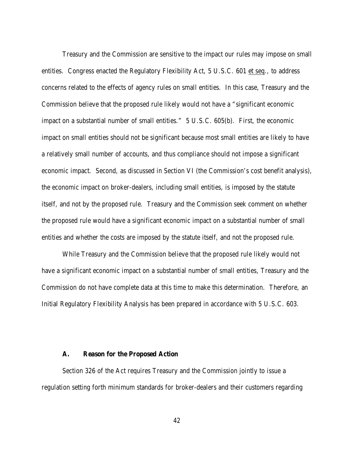Treasury and the Commission are sensitive to the impact our rules may impose on small entities. Congress enacted the Regulatory Flexibility Act, 5 U.S.C. 601 et seq., to address concerns related to the effects of agency rules on small entities. In this case, Treasury and the Commission believe that the proposed rule likely would not have a "significant economic impact on a substantial number of small entities." 5 U.S.C. 605(b). First, the economic impact on small entities should not be significant because most small entities are likely to have a relatively small number of accounts, and thus compliance should not impose a significant economic impact. Second, as discussed in Section VI (the Commission's cost benefit analysis), the economic impact on broker-dealers, including small entities, is imposed by the statute itself, and not by the proposed rule. Treasury and the Commission seek comment on whether the proposed rule would have a significant economic impact on a substantial number of small entities and whether the costs are imposed by the statute itself, and not the proposed rule.

While Treasury and the Commission believe that the proposed rule likely would not have a significant economic impact on a substantial number of small entities, Treasury and the Commission do not have complete data at this time to make this determination. Therefore, an Initial Regulatory Flexibility Analysis has been prepared in accordance with 5 U.S.C. 603.

#### **A. Reason for the Proposed Action**

Section 326 of the Act requires Treasury and the Commission jointly to issue a regulation setting forth minimum standards for broker-dealers and their customers regarding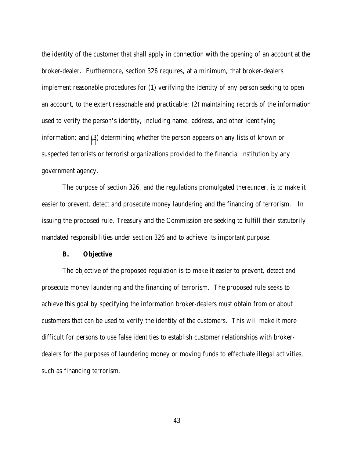the identity of the customer that shall apply in connection with the opening of an account at the broker-dealer. Furthermore, section 326 requires, at a minimum, that broker-dealers implement reasonable procedures for (1) verifying the identity of any person seeking to open an account, to the extent reasonable and practicable; (2) maintaining records of the information used to verify the person's identity, including name, address, and other identifying information; and (3) determining whether the person appears on any lists of known or suspected terrorists or terrorist organizations provided to the financial institution by any government agency.

The purpose of section 326, and the regulations promulgated thereunder, is to make it easier to prevent, detect and prosecute money laundering and the financing of terrorism. In issuing the proposed rule, Treasury and the Commission are seeking to fulfill their statutorily mandated responsibilities under section 326 and to achieve its important purpose.

#### **B. Objective**

The objective of the proposed regulation is to make it easier to prevent, detect and prosecute money laundering and the financing of terrorism. The proposed rule seeks to achieve this goal by specifying the information broker-dealers must obtain from or about customers that can be used to verify the identity of the customers. This will make it more difficult for persons to use false identities to establish customer relationships with brokerdealers for the purposes of laundering money or moving funds to effectuate illegal activities, such as financing terrorism.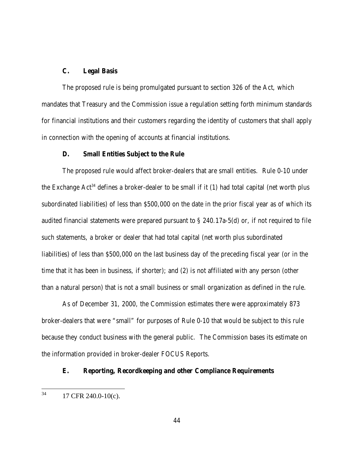#### **C. Legal Basis**

The proposed rule is being promulgated pursuant to section 326 of the Act, which mandates that Treasury and the Commission issue a regulation setting forth minimum standards for financial institutions and their customers regarding the identity of customers that shall apply in connection with the opening of accounts at financial institutions.

#### **D. Small Entities Subject to the Rule**

The proposed rule would affect broker-dealers that are small entities. Rule 0-10 under the Exchange  $Act^{34}$  defines a broker-dealer to be small if it (1) had total capital (net worth plus subordinated liabilities) of less than \$500,000 on the date in the prior fiscal year as of which its audited financial statements were prepared pursuant to § 240.17a-5(d) or, if not required to file such statements, a broker or dealer that had total capital (net worth plus subordinated liabilities) of less than \$500,000 on the last business day of the preceding fiscal year (or in the time that it has been in business, if shorter); and (2) is not affiliated with any person (other than a natural person) that is not a small business or small organization as defined in the rule.

As of December 31, 2000, the Commission estimates there were approximately 873 broker-dealers that were "small" for purposes of Rule 0-10 that would be subject to this rule because they conduct business with the general public. The Commission bases its estimate on the information provided in broker-dealer FOCUS Reports.

## **E. Reporting, Recordkeeping and other Compliance Requirements**

<sup>34</sup> 17 CFR 240.0-10(c).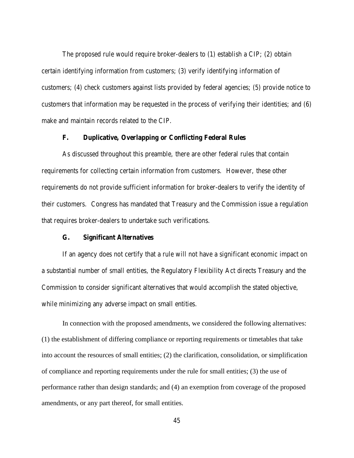The proposed rule would require broker-dealers to (1) establish a CIP; (2) obtain certain identifying information from customers; (3) verify identifying information of customers; (4) check customers against lists provided by federal agencies; (5) provide notice to customers that information may be requested in the process of verifying their identities; and (6) make and maintain records related to the CIP.

# **F. Duplicative, Overlapping or Conflicting Federal Rules**

As discussed throughout this preamble, there are other federal rules that contain requirements for collecting certain information from customers. However, these other requirements do not provide sufficient information for broker-dealers to verify the identity of their customers. Congress has mandated that Treasury and the Commission issue a regulation that requires broker-dealers to undertake such verifications.

#### **G. Significant Alternatives**

If an agency does not certify that a rule will not have a significant economic impact on a substantial number of small entities, the Regulatory Flexibility Act directs Treasury and the Commission to consider significant alternatives that would accomplish the stated objective, while minimizing any adverse impact on small entities.

In connection with the proposed amendments, we considered the following alternatives: (1) the establishment of differing compliance or reporting requirements or timetables that take into account the resources of small entities; (2) the clarification, consolidation, or simplification of compliance and reporting requirements under the rule for small entities; (3) the use of performance rather than design standards; and (4) an exemption from coverage of the proposed amendments, or any part thereof, for small entities.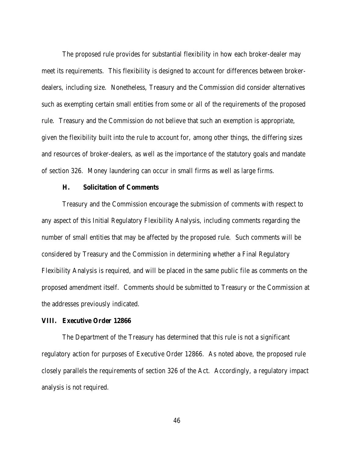The proposed rule provides for substantial flexibility in how each broker-dealer may meet its requirements. This flexibility is designed to account for differences between brokerdealers, including size. Nonetheless, Treasury and the Commission did consider alternatives such as exempting certain small entities from some or all of the requirements of the proposed rule. Treasury and the Commission do not believe that such an exemption is appropriate, given the flexibility built into the rule to account for, among other things, the differing sizes and resources of broker-dealers, as well as the importance of the statutory goals and mandate of section 326. Money laundering can occur in small firms as well as large firms.

#### **H. Solicitation of Comments**

Treasury and the Commission encourage the submission of comments with respect to any aspect of this Initial Regulatory Flexibility Analysis, including comments regarding the number of small entities that may be affected by the proposed rule. Such comments will be considered by Treasury and the Commission in determining whether a Final Regulatory Flexibility Analysis is required, and will be placed in the same public file as comments on the proposed amendment itself. Comments should be submitted to Treasury or the Commission at the addresses previously indicated.

#### **VIII. Executive Order 12866**

The Department of the Treasury has determined that this rule is not a significant regulatory action for purposes of Executive Order 12866. As noted above, the proposed rule closely parallels the requirements of section 326 of the Act. Accordingly, a regulatory impact analysis is not required.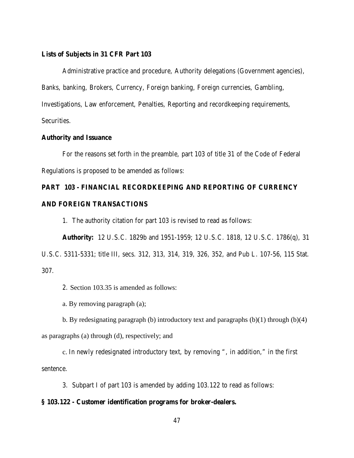## **Lists of Subjects in 31 CFR Part 103**

Administrative practice and procedure, Authority delegations (Government agencies), Banks, banking, Brokers, Currency, Foreign banking, Foreign currencies, Gambling, Investigations, Law enforcement, Penalties, Reporting and recordkeeping requirements, Securities.

## **Authority and Issuance**

For the reasons set forth in the preamble, part 103 of title 31 of the Code of Federal Regulations is proposed to be amended as follows:

# **PART 103 - FINANCIAL RECORDKEEPING AND REPORTING OF CURRENCY**

# **AND FOREIGN TRANSACTIONS**

1. The authority citation for part 103 is revised to read as follows:

**Authority:** 12 U.S.C. 1829b and 1951-1959; 12 U.S.C. 1818, 12 U.S.C. 1786(q), 31

U.S.C. 5311-5331; title III, secs. 312, 313, 314, 319, 326, 352, and Pub L. 107-56, 115 Stat. 307.

2. Section 103.35 is amended as follows:

a. By removing paragraph (a);

b. By redesignating paragraph (b) introductory text and paragraphs (b)(1) through (b)(4) as paragraphs (a) through (d), respectively; and

c. In newly redesignated introductory text, by removing ", in addition," in the first sentence.

3. Subpart I of part 103 is amended by adding 103.122 to read as follows:

# **§ 103.122 - Customer identification programs for broker-dealers.**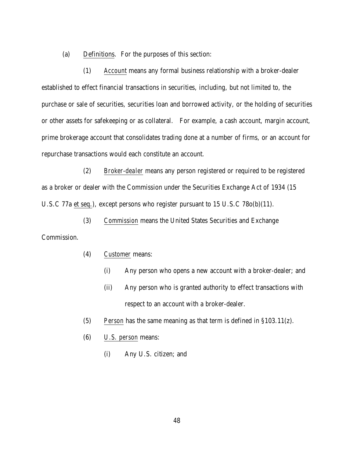(a) Definitions. For the purposes of this section:

(1) *Account* means any formal business relationship with a broker-dealer established to effect financial transactions in securities, including, but not limited to, the purchase or sale of securities, securities loan and borrowed activity, or the holding of securities or other assets for safekeeping or as collateral. For example, a cash account, margin account, prime brokerage account that consolidates trading done at a number of firms, or an account for repurchase transactions would each constitute an account.

(2) *Broker-dealer* means any person registered or required to be registered as a broker or dealer with the Commission under the Securities Exchange Act of 1934 (15 U.S.C 77a et seq.), except persons who register pursuant to 15 U.S.C 78o(b)(11).

(3) *Commission* means the United States Securities and Exchange

Commission.

- (4) *Customer* means:
	- (i) Any person who opens a new account with a broker-dealer; and
	- (ii) Any person who is granted authority to effect transactions with respect to an account with a broker-dealer.
- (5) *Person* has the same meaning as that term is defined in §103.11(z).
- (6) *U.S. person* means:
	- (i) Any U.S. citizen; and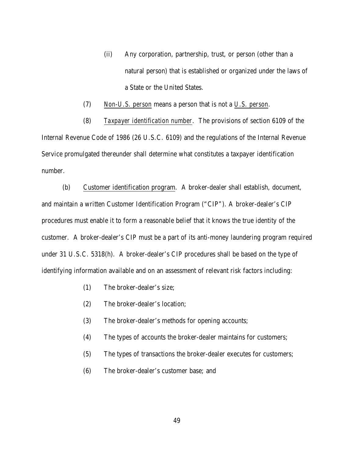- (ii) Any corporation, partnership, trust, or person (other than a natural person) that is established or organized under the laws of a State or the United States.
- (7) *Non-U.S. person* means a person that is not a *U.S. person*.

(8) *Taxpayer identification number*. The provisions of section 6109 of the Internal Revenue Code of 1986 (26 U.S.C. 6109) and the regulations of the Internal Revenue Service promulgated thereunder shall determine what constitutes a taxpayer identification number.

(b) Customer identification program. A broker-dealer shall establish, document, and maintain a written Customer Identification Program ("CIP"). A broker-dealer's CIP procedures must enable it to form a reasonable belief that it knows the true identity of the customer. A broker-dealer's CIP must be a part of its anti-money laundering program required under 31 U.S.C. 5318(h). A broker-dealer's CIP procedures shall be based on the type of identifying information available and on an assessment of relevant risk factors including:

- (1) The broker-dealer's size;
- (2) The broker-dealer's location;
- (3) The broker-dealer's methods for opening accounts;
- (4) The types of accounts the broker-dealer maintains for customers;
- (5) The types of transactions the broker-dealer executes for customers;
- (6) The broker-dealer's customer base; and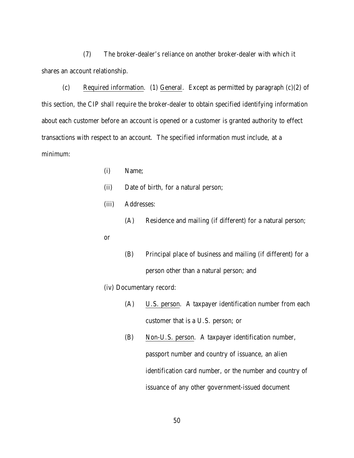(7) The broker-dealer's reliance on another broker-dealer with which it shares an account relationship.

(c) Required information. (1) General. Except as permitted by paragraph  $(c)(2)$  of this section, the CIP shall require the broker-dealer to obtain specified identifying information about each customer before an account is opened or a customer is granted authority to effect transactions with respect to an account. The specified information must include, at a minimum:

- (i) Name;
- (ii) Date of birth, for a natural person;
- (iii) Addresses:
	- (A) Residence and mailing (if different) for a natural person;
- or
- (B) Principal place of business and mailing (if different) for a person other than a natural person; and
- (iv) Documentary record:
	- (A) U.S. person. A taxpayer identification number from each customer that is a U.S. person; or
	- (B) Non-U.S. person. A taxpayer identification number, passport number and country of issuance, an alien identification card number, or the number and country of issuance of any other government-issued document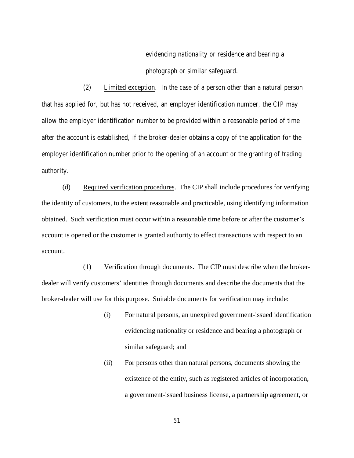evidencing nationality or residence and bearing a photograph or similar safeguard.

(2) Limited exception. In the case of a person other than a natural person that has applied for, but has not received, an employer identification number, the CIP may allow the employer identification number to be provided within a reasonable period of time after the account is established, if the broker-dealer obtains a copy of the application for the employer identification number prior to the opening of an account or the granting of trading authority.

(d) Required verification procedures. The CIP shall include procedures for verifying the identity of customers, to the extent reasonable and practicable, using identifying information obtained. Such verification must occur within a reasonable time before or after the customer's account is opened or the customer is granted authority to effect transactions with respect to an account.

(1) Verification through documents. The CIP must describe when the brokerdealer will verify customers' identities through documents and describe the documents that the broker-dealer will use for this purpose. Suitable documents for verification may include:

- (i) For natural persons, an unexpired government-issued identification evidencing nationality or residence and bearing a photograph or similar safeguard; and
- (ii) For persons other than natural persons, documents showing the existence of the entity, such as registered articles of incorporation, a government-issued business license, a partnership agreement, or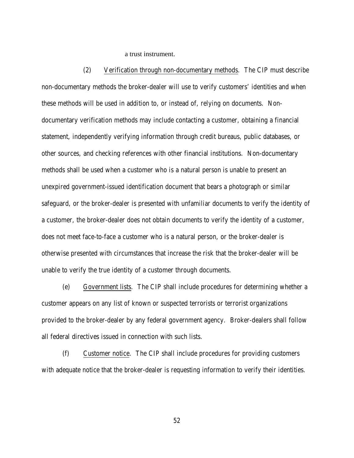a trust instrument.

(2) Verification through non-documentary methods. The CIP must describe non-documentary methods the broker-dealer will use to verify customers' identities and when these methods will be used in addition to, or instead of, relying on documents. Nondocumentary verification methods may include contacting a customer, obtaining a financial statement, independently verifying information through credit bureaus, public databases, or other sources, and checking references with other financial institutions. Non-documentary methods shall be used when a customer who is a natural person is unable to present an unexpired government-issued identification document that bears a photograph or similar safeguard, or the broker-dealer is presented with unfamiliar documents to verify the identity of a customer, the broker-dealer does not obtain documents to verify the identity of a customer, does not meet face-to-face a customer who is a natural person, or the broker-dealer is otherwise presented with circumstances that increase the risk that the broker-dealer will be unable to verify the true identity of a customer through documents.

(e) Government lists. The CIP shall include procedures for determining whether a customer appears on any list of known or suspected terrorists or terrorist organizations provided to the broker-dealer by any federal government agency. Broker-dealers shall follow all federal directives issued in connection with such lists.

(f) Customer notice. The CIP shall include procedures for providing customers with adequate notice that the broker-dealer is requesting information to verify their identities.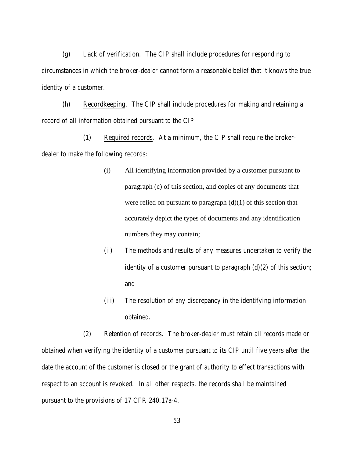(g) Lack of verification. The CIP shall include procedures for responding to circumstances in which the broker-dealer cannot form a reasonable belief that it knows the true identity of a customer.

(h) Recordkeeping. The CIP shall include procedures for making and retaining a record of all information obtained pursuant to the CIP.

(1) Required records. At a minimum, the CIP shall require the brokerdealer to make the following records:

- (i) All identifying information provided by a customer pursuant to paragraph (c) of this section, and copies of any documents that were relied on pursuant to paragraph  $(d)(1)$  of this section that accurately depict the types of documents and any identification numbers they may contain;
- (ii) The methods and results of any measures undertaken to verify the identity of a customer pursuant to paragraph  $(d)(2)$  of this section; and
- (iii) The resolution of any discrepancy in the identifying information obtained.

(2) Retention of records. The broker-dealer must retain all records made or obtained when verifying the identity of a customer pursuant to its CIP until five years after the date the account of the customer is closed or the grant of authority to effect transactions with respect to an account is revoked. In all other respects, the records shall be maintained pursuant to the provisions of 17 CFR 240.17a-4.